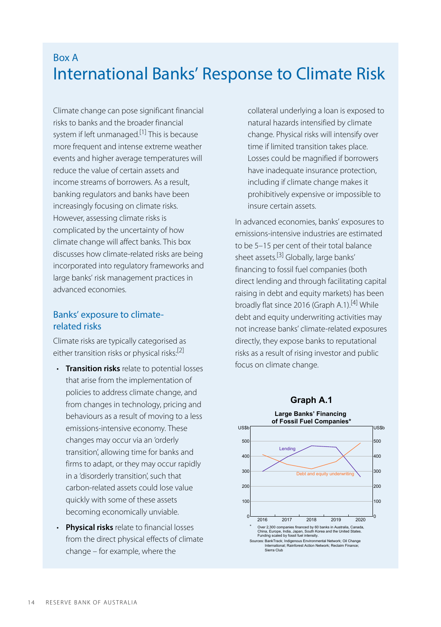# Box A International Banks' Response to Climate Risk

<span id="page-0-0"></span>Climate change can pose significant financial risks to banks and the broader financial system if left unmanaged. [\[1\]](#page-6-0) This is because more frequent and intense extreme weather events and higher average temperatures will reduce the value of certain assets and income streams of borrowers. As a result, banking regulators and banks have been increasingly focusing on climate risks. However, assessing climate risks is complicated by the uncertainty of how climate change will affect banks. This box discusses how climate-related risks are being incorporated into regulatory frameworks and large banks' risk management practices in advanced economies.

# <span id="page-0-3"></span><span id="page-0-2"></span>Banks' exposure to climaterelated risks

<span id="page-0-1"></span>Climate risks are typically categorised as either transition risks or physical risks:<sup>[\[2\]](#page-6-1)</sup>

- **Transition risks** relate to potential losses that arise from the implementation of policies to address climate change, and from changes in technology, pricing and behaviours as a result of moving to a less emissions-intensive economy. These changes may occur via an 'orderly transition', allowing time for banks and firms to adapt, or they may occur rapidly in a 'disorderly transition', such that carbon-related assets could lose value quickly with some of these assets becoming economically unviable.
- **Physical risks** relate to financial losses from the direct physical effects of climate change – for example, where the

collateral underlying a loan is exposed to natural hazards intensified by climate change. Physical risks will intensify over time if limited transition takes place. Losses could be magnified if borrowers have inadequate insurance protection, including if climate change makes it prohibitively expensive or impossible to insure certain assets.

In advanced economies, banks' exposures to emissions-intensive industries are estimated to be 5–15 per cent of their total balance sheet assets.<sup>[\[3\]](#page-6-2)</sup> Globally, large banks' financing to fossil fuel companies (both direct lending and through facilitating capital raising in debt and equity markets) has been broadly flat since 2016 (Graph A.1).<sup>[\[4\]](#page-7-0)</sup> While debt and equity underwriting activities may not increase banks' climate-related exposures directly, they expose banks to reputational risks as a result of rising investor and public focus on climate change.

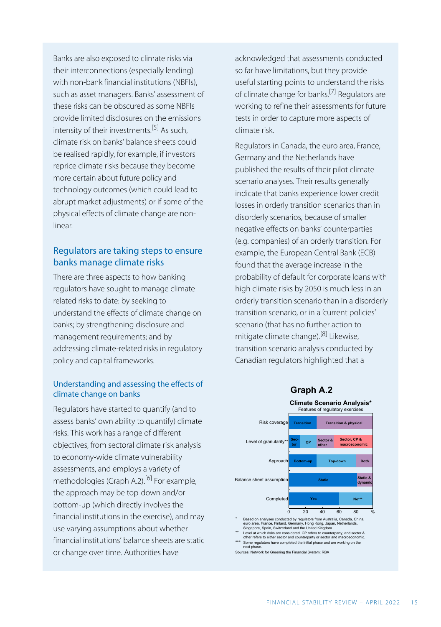<span id="page-1-2"></span><span id="page-1-0"></span>Banks are also exposed to climate risks via their interconnections (especially lending) with non-bank financial institutions (NBFIs), such as asset managers. Banks' assessment of these risks can be obscured as some NBFIs provide limited disclosures on the emissions intensity of their investments. [\[5\]](#page-7-1) As such, climate risk on banks' balance sheets could be realised rapidly, for example, if investors reprice climate risks because they become more certain about future policy and technology outcomes (which could lead to abrupt market adjustments) or if some of the physical effects of climate change are nonlinear.

# Regulators are taking steps to ensure banks manage climate risks

There are three aspects to how banking regulators have sought to manage climaterelated risks to date: by seeking to understand the effects of climate change on banks; by strengthening disclosure and management requirements; and by addressing climate-related risks in regulatory policy and capital frameworks.

#### <span id="page-1-3"></span>Understanding and assessing the effects of climate change on banks

<span id="page-1-1"></span>Regulators have started to quantify (and to assess banks' own ability to quantify) climate risks. This work has a range of different objectives, from sectoral climate risk analysis to economy-wide climate vulnerability assessments, and employs a variety of methodologies (Graph A.2).<sup>[\[6\]](#page-7-2)</sup> For example, the approach may be top-down and/or bottom-up (which directly involves the financial institutions in the exercise), and may use varying assumptions about whether financial institutions' balance sheets are static or change over time. Authorities have

acknowledged that assessments conducted so far have limitations, but they provide useful starting points to understand the risks of climate change for banks.<sup>[\[7\]](#page-7-3)</sup> Regulators are working to refine their assessments for future tests in order to capture more aspects of climate risk.

Regulators in Canada, the euro area, France, Germany and the Netherlands have published the results of their pilot climate scenario analyses. Their results generally indicate that banks experience lower credit losses in orderly transition scenarios than in disorderly scenarios, because of smaller negative effects on banks' counterparties (e.g. companies) of an orderly transition. For example, the European Central Bank (ECB) found that the average increase in the probability of default for corporate loans with high climate risks by 2050 is much less in an orderly transition scenario than in a disorderly transition scenario, or in a 'current policies' scenario (that has no further action to mitigate climate change).[\[8\]](#page-7-4) Likewise, transition scenario analysis conducted by Canadian regulators highlighted that a





- 
- \*\*\* Some regulators have completed the initial phase and are working on the

next phase. Sources: Network for Greening the Financial System; RBA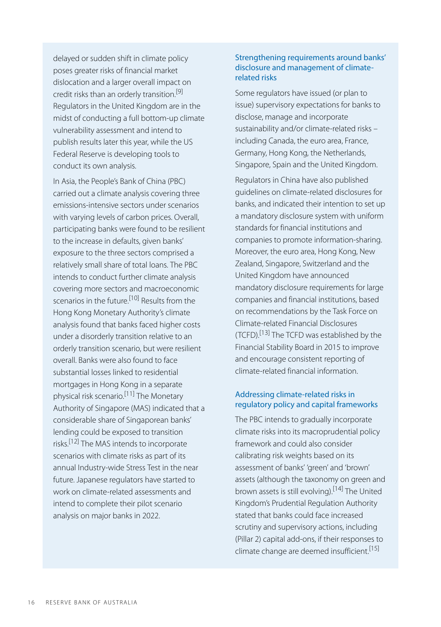<span id="page-2-0"></span>delayed or sudden shift in climate policy poses greater risks of financial market dislocation and a larger overall impact on credit risks than an orderly transition.<sup>[\[9\]](#page-7-5)</sup> Regulators in the United Kingdom are in the midst of conducting a full bottom-up climate vulnerability assessment and intend to publish results later this year, while the US Federal Reserve is developing tools to conduct its own analysis.

<span id="page-2-4"></span><span id="page-2-2"></span><span id="page-2-1"></span>In Asia, the People's Bank of China (PBC) carried out a climate analysis covering three emissions-intensive sectors under scenarios with varying levels of carbon prices. Overall, participating banks were found to be resilient to the increase in defaults, given banks' exposure to the three sectors comprised a relatively small share of total loans. The PBC intends to conduct further climate analysis covering more sectors and macroeconomic scenarios in the future.<sup>[\[10\]](#page-7-6)</sup> Results from the Hong Kong Monetary Authority's climate analysis found that banks faced higher costs under a disorderly transition relative to an orderly transition scenario, but were resilient overall. Banks were also found to face substantial losses linked to residential mortgages in Hong Kong in a separate physical risk scenario. [\[11\]](#page-7-7) The Monetary Authority of Singapore (MAS) indicated that a considerable share of Singaporean banks' lending could be exposed to transition risks. [\[12\]](#page-7-8) The MAS intends to incorporate scenarios with climate risks as part of its annual Industry-wide Stress Test in the near future. Japanese regulators have started to work on climate-related assessments and intend to complete their pilot scenario analysis on major banks in 2022.

### Strengthening requirements around banks' disclosure and management of climaterelated risks

Some regulators have issued (or plan to issue) supervisory expectations for banks to disclose, manage and incorporate sustainability and/or climate-related risks – including Canada, the euro area, France, Germany, Hong Kong, the Netherlands, Singapore, Spain and the United Kingdom.

Regulators in China have also published guidelines on climate-related disclosures for banks, and indicated their intention to set up a mandatory disclosure system with uniform standards for financial institutions and companies to promote information-sharing. Moreover, the euro area, Hong Kong, New Zealand, Singapore, Switzerland and the United Kingdom have announced mandatory disclosure requirements for large companies and financial institutions, based on recommendations by the Task Force on Climate-related Financial Disclosures (TCFD).<sup>[\[13\]](#page-7-9)</sup> The TCFD was established by the Financial Stability Board in 2015 to improve and encourage consistent reporting of climate-related financial information.

### Addressing climate-related risks in regulatory policy and capital frameworks

<span id="page-2-6"></span><span id="page-2-5"></span><span id="page-2-3"></span>The PBC intends to gradually incorporate climate risks into its macroprudential policy framework and could also consider calibrating risk weights based on its assessment of banks' 'green' and 'brown' assets (although the taxonomy on green and brown assets is still evolving).<sup>[\[14\]](#page-7-0)</sup> The United Kingdom's Prudential Regulation Authority stated that banks could face increased scrutiny and supervisory actions, including (Pillar 2) capital add-ons, if their responses to climate change are deemed insufficient.<sup>[\[15\]](#page-7-10)</sup>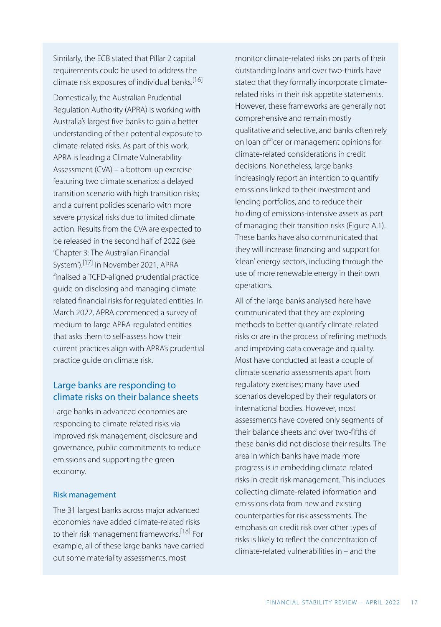Similarly, the ECB stated that Pillar 2 capital requirements could be used to address the climate risk exposures of individual banks. [\[16\]](#page-7-11)

<span id="page-3-0"></span>Domestically, the Australian Prudential Regulation Authority (APRA) is working with Australia's largest five banks to gain a better understanding of their potential exposure to climate-related risks. As part of this work, APRA is leading a Climate Vulnerability Assessment (CVA) – a bottom-up exercise featuring two climate scenarios: a delayed transition scenario with high transition risks; and a current policies scenario with more severe physical risks due to limited climate action. Results from the CVA are expected to be released in the second half of 2022 (see '[Chapter 3: The Australian Financial](https://www.rba.gov.au/publications/fsr/2022/apr/australian-financial-system.html)  [System'](https://www.rba.gov.au/publications/fsr/2022/apr/australian-financial-system.html)).[\[17\]](#page-7-12) In November 2021, APRA finalised a TCFD-aligned prudential practice guide on disclosing and managing climaterelated financial risks for regulated entities. In March 2022, APRA commenced a survey of medium-to-large APRA-regulated entities that asks them to self-assess how their current practices align with APRA's prudential practice guide on climate risk.

# <span id="page-3-1"></span>Large banks are responding to climate risks on their balance sheets

Large banks in advanced economies are responding to climate-related risks via improved risk management, disclosure and governance, public commitments to reduce emissions and supporting the green economy.

#### Risk management

<span id="page-3-2"></span>The 31 largest banks across major advanced economies have added climate-related risks to their risk management frameworks. [\[18\]](#page-7-4) For example, all of these large banks have carried out some materiality assessments, most

monitor climate-related risks on parts of their outstanding loans and over two-thirds have stated that they formally incorporate climaterelated risks in their risk appetite statements. However, these frameworks are generally not comprehensive and remain mostly qualitative and selective, and banks often rely on loan officer or management opinions for climate-related considerations in credit decisions. Nonetheless, large banks increasingly report an intention to quantify emissions linked to their investment and lending portfolios, and to reduce their holding of emissions-intensive assets as part of managing their transition risks (Figure A.1). These banks have also communicated that they will increase financing and support for 'clean' energy sectors, including through the use of more renewable energy in their own operations.

All of the large banks analysed here have communicated that they are exploring methods to better quantify climate-related risks or are in the process of refining methods and improving data coverage and quality. Most have conducted at least a couple of climate scenario assessments apart from regulatory exercises; many have used scenarios developed by their regulators or international bodies. However, most assessments have covered only segments of their balance sheets and over two-fifths of these banks did not disclose their results. The area in which banks have made more progress is in embedding climate-related risks in credit risk management. This includes collecting climate-related information and emissions data from new and existing counterparties for risk assessments. The emphasis on credit risk over other types of risks is likely to reflect the concentration of climate-related vulnerabilities in – and the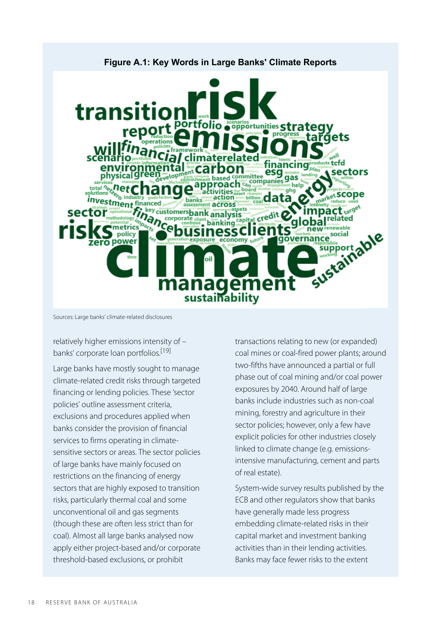

Sources: Large banks' climate-related disclosures

<span id="page-4-0"></span>relatively higher emissions intensity of – banks' corporate loan portfolios.<sup>[\[19\]](#page-7-13)</sup>

Large banks have mostly sought to manage climate-related credit risks through targeted financing or lending policies. These 'sector policies' outline assessment criteria, exclusions and procedures applied when banks consider the provision of financial services to firms operating in climatesensitive sectors or areas. The sector policies of large banks have mainly focused on restrictions on the financing of energy sectors that are highly exposed to transition risks, particularly thermal coal and some unconventional oil and gas segments (though these are often less strict than for coal). Almost all large banks analysed now apply either project-based and/or corporate threshold-based exclusions, or prohibit

transactions relating to new (or expanded) coal mines or coal-fired power plants; around two-fifths have announced a partial or full phase out of coal mining and/or coal power exposures by 2040. Around half of large banks include industries such as non-coal mining, forestry and agriculture in their sector policies; however, only a few have explicit policies for other industries closely linked to climate change (e.g. emissionsintensive manufacturing, cement and parts of real estate).

System-wide survey results published by the ECB and other regulators show that banks have generally made less progress embedding climate-related risks in their capital market and investment banking activities than in their lending activities. Banks may face fewer risks to the extent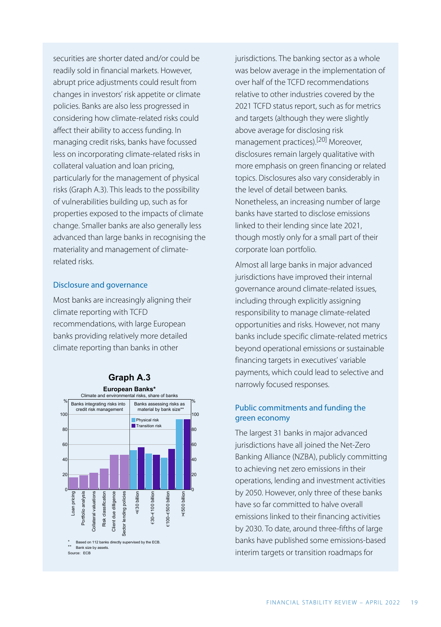<span id="page-5-0"></span>securities are shorter dated and/or could be readily sold in financial markets. However, abrupt price adjustments could result from changes in investors' risk appetite or climate policies. Banks are also less progressed in considering how climate-related risks could affect their ability to access funding. In managing credit risks, banks have focussed less on incorporating climate-related risks in collateral valuation and loan pricing, particularly for the management of physical risks (Graph A.3). This leads to the possibility of vulnerabilities building up, such as for properties exposed to the impacts of climate change. Smaller banks are also generally less advanced than large banks in recognising the materiality and management of climaterelated risks.

#### Disclosure and governance

Most banks are increasingly aligning their climate reporting with TCFD recommendations, with large European banks providing relatively more detailed climate reporting than banks in other



jurisdictions. The banking sector as a whole was below average in the implementation of over half of the TCFD recommendations relative to other industries covered by the 2021 TCFD status report, such as for metrics and targets (although they were slightly above average for disclosing risk management practices).[\[20\]](#page-7-14) Moreover, disclosures remain largely qualitative with more emphasis on green financing or related topics. Disclosures also vary considerably in the level of detail between banks. Nonetheless, an increasing number of large banks have started to disclose emissions linked to their lending since late 2021, though mostly only for a small part of their corporate loan portfolio.

Almost all large banks in major advanced jurisdictions have improved their internal governance around climate-related issues, including through explicitly assigning responsibility to manage climate-related opportunities and risks. However, not many banks include specific climate-related metrics beyond operational emissions or sustainable financing targets in executives' variable payments, which could lead to selective and narrowly focused responses.

### Public commitments and funding the green economy

The largest 31 banks in major advanced jurisdictions have all joined the Net-Zero Banking Alliance (NZBA), publicly committing to achieving net zero emissions in their operations, lending and investment activities by 2050. However, only three of these banks have so far committed to halve overall emissions linked to their financing activities by 2030. To date, around three-fifths of large banks have published some emissions-based interim targets or transition roadmaps for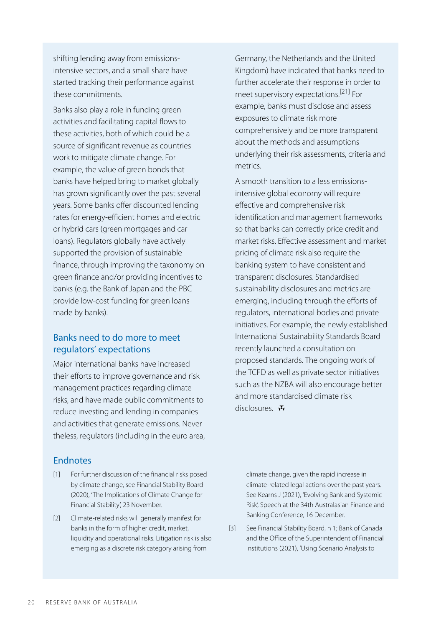shifting lending away from emissionsintensive sectors, and a small share have started tracking their performance against these commitments.

<span id="page-6-3"></span>Banks also play a role in funding green activities and facilitating capital flows to these activities, both of which could be a source of significant revenue as countries work to mitigate climate change. For example, the value of green bonds that banks have helped bring to market globally has grown significantly over the past several years. Some banks offer discounted lending rates for energy-efficient homes and electric or hybrid cars (green mortgages and car loans). Regulators globally have actively supported the provision of sustainable finance, through improving the taxonomy on green finance and/or providing incentives to banks (e.g. the Bank of Japan and the PBC provide low-cost funding for green loans made by banks).

# Banks need to do more to meet regulators' expectations

Major international banks have increased their efforts to improve governance and risk management practices regarding climate risks, and have made public commitments to reduce investing and lending in companies and activities that generate emissions. Nevertheless, regulators (including in the euro area,

## Endnotes

- <span id="page-6-0"></span>For further discussion of the financial risks posed [\[1\]](#page-0-0) by climate change, see Financial Stability Board (2020), 'The Implications of Climate Change for Financial Stability', 23 November.
- <span id="page-6-2"></span><span id="page-6-1"></span>Climate-related risks will generally manifest for [\[2\]](#page-0-1) banks in the form of higher credit, market, liquidity and operational risks. Litigation risk is also emerging as a discrete risk category arising from

Germany, the Netherlands and the United Kingdom) have indicated that banks need to further accelerate their response in order to meet supervisory expectations. [\[21\]](#page-7-15) For example, banks must disclose and assess exposures to climate risk more comprehensively and be more transparent about the methods and assumptions underlying their risk assessments, criteria and metrics.

A smooth transition to a less emissionsintensive global economy will require effective and comprehensive risk identification and management frameworks so that banks can correctly price credit and market risks. Effective assessment and market pricing of climate risk also require the banking system to have consistent and transparent disclosures. Standardised sustainability disclosures and metrics are emerging, including through the efforts of regulators, international bodies and private initiatives. For example, the newly established International Sustainability Standards Board recently launched a consultation on proposed standards. The ongoing work of the TCFD as well as private sector initiatives such as the NZBA will also encourage better and more standardised climate risk disclosures. N

climate change, given the rapid increase in climate-related legal actions over the past years. See Kearns J (2021), '[Evolving Bank and Systemic](https://www.rba.gov.au/speeches/2021/sp-so-2021-12-16.html) [Risk'](https://www.rba.gov.au/speeches/2021/sp-so-2021-12-16.html), Speech at the 34th Australasian Finance and Banking Conference, 16 December.

See Financial Stability Board, n 1; Bank of Canada and the Office of the Superintendent of Financial Institutions (2021), 'Using Scenario Analysis to [\[3\]](#page-0-2)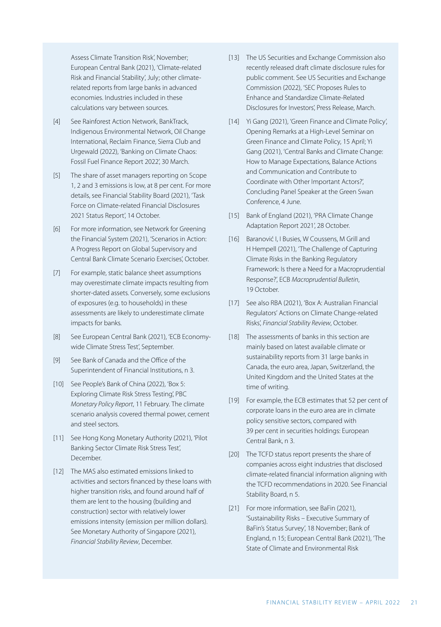<span id="page-7-9"></span>Assess Climate Transition Risk', November; European Central Bank (2021), 'Climate-related Risk and Financial Stability', July; other climaterelated reports from large banks in advanced economies. Industries included in these calculations vary between sources.

- <span id="page-7-0"></span>See Rainforest Action Network, BankTrack, [\[4\]](#page-0-3) Indigenous Environmental Network, Oil Change International, Reclaim Finance, Sierra Club and Urgewald (2022), 'Banking on Climate Chaos: Fossil Fuel Finance Report 2022', 30 March.
- <span id="page-7-1"></span>The share of asset managers reporting on Scope [\[5\]](#page-1-0) 1, 2 and 3 emissions is low, at 8 per cent. For more details, see Financial Stability Board (2021), 'Task Force on Climate-related Financial Disclosures 2021 Status Report', 14 October.
- <span id="page-7-11"></span><span id="page-7-10"></span><span id="page-7-2"></span>For more information, see Network for Greening [\[6\]](#page-1-1) the Financial System (2021), 'Scenarios in Action: A Progress Report on Global Supervisory and Central Bank Climate Scenario Exercises', October.
- <span id="page-7-12"></span><span id="page-7-3"></span>For example, static balance sheet assumptions [\[7\]](#page-1-2) may overestimate climate impacts resulting from shorter-dated assets. Conversely, some exclusions of exposures (e.g. to households) in these assessments are likely to underestimate climate impacts for banks.
- <span id="page-7-4"></span>See European Central Bank (2021), 'ECB Economywide Climate Stress Test', September. [\[8\]](#page-1-3)
- <span id="page-7-5"></span>See Bank of Canada and the Office of the Superintendent of Financial Institutions, n 3. [\[9\]](#page-2-0)
- <span id="page-7-13"></span><span id="page-7-6"></span>[\[10\]](#page-2-1) See People's Bank of China (2022), 'Box 5: Exploring Climate Risk Stress Testing', PBC *Monetary Policy Report*, 11 February. The climate scenario analysis covered thermal power, cement and steel sectors.
- <span id="page-7-14"></span><span id="page-7-7"></span>[\[11\]](#page-2-2) See Hong Kong Monetary Authority (2021), 'Pilot Banking Sector Climate Risk Stress Test', December.
- <span id="page-7-15"></span><span id="page-7-8"></span>[\[12\]](#page-2-3) The MAS also estimated emissions linked to activities and sectors financed by these loans with higher transition risks, and found around half of them are lent to the housing (building and construction) sector with relatively lower emissions intensity (emission per million dollars). See Monetary Authority of Singapore (2021), *Financial Stability Review*, December.
- The US Securities and Exchange Commission also [\[13\]](#page-2-4)  recently released draft climate disclosure rules for public comment. See US Securities and Exchange Commission (2022), 'SEC Proposes Rules to Enhance and Standardize Climate-Related Disclosures for Investors', Press Release, March.
- Yi Gang (2021), 'Green Finance and Climate Policy', [\[14\]](#page-2-5)  Opening Remarks at a High-Level Seminar on Green Finance and Climate Policy, 15 April; Yi Gang (2021), 'Central Banks and Climate Change: How to Manage Expectations, Balance Actions and Communication and Contribute to Coordinate with Other Important Actors?', Concluding Panel Speaker at the Green Swan Conference, 4 June.
- [\[15\]](#page-2-6) Bank of England (2021), 'PRA Climate Change Adaptation Report 2021', 28 October.
- [\[16\]](#page-3-0) Baranović I, I Busies, W Coussens, M Grill and H Hempell (2021), 'The Challenge of Capturing Climate Risks in the Banking Regulatory Framework: Is there a Need for a Macroprudential Response?', ECB *Macroprudential Bulletin*, 19 October.
- [\[17\]](#page-3-1) See also RBA (2021), 'Box A: Australian Financial [Regulators' Actions on Climate Change-related](https://www.rba.gov.au/publications/fsr/2021/oct/box-a-australian-financial-regulators-actions-on-climate-change-related-risks.html) [Risks'](https://www.rba.gov.au/publications/fsr/2021/oct/box-a-australian-financial-regulators-actions-on-climate-change-related-risks.html), *Financial Stability Review*, October.
- [\[18\]](#page-3-2) The assessments of banks in this section are mainly based on latest available climate or sustainability reports from 31 large banks in Canada, the euro area, Japan, Switzerland, the United Kingdom and the United States at the time of writing.
- For example, the ECB estimates that 52 per cent of [\[19\]](#page-4-0)  corporate loans in the euro area are in climate policy sensitive sectors, compared with 39 per cent in securities holdings: European Central Bank, n 3.
- [\[20\]](#page-5-0) The TCFD status report presents the share of companies across eight industries that disclosed climate-related financial information aligning with the TCFD recommendations in 2020. See Financial Stability Board, n 5.
- [\[21\]](#page-6-3) For more information, see BaFin (2021), 'Sustainability Risks – Executive Summary of BaFin's Status Survey', 18 November; Bank of England, n 15; European Central Bank (2021), 'The State of Climate and Environmental Risk